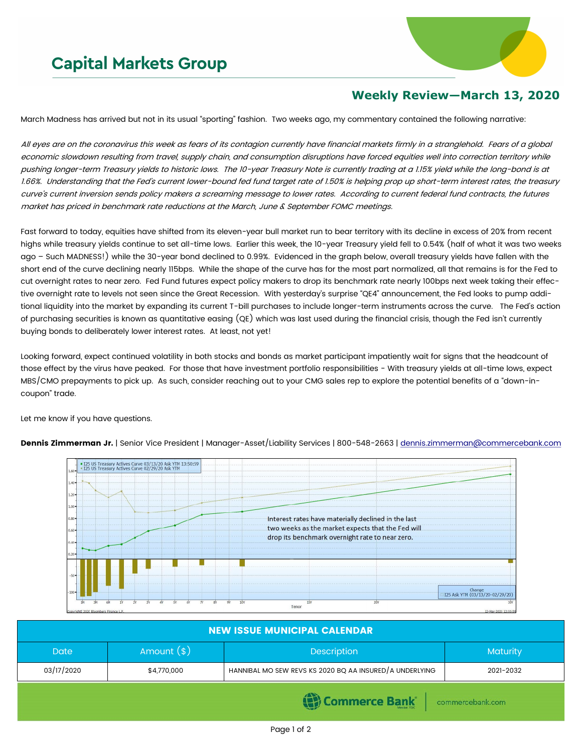## **Capital Markets Group**



## **Weekly Review—March 13, 2020**

March Madness has arrived but not in its usual "sporting" fashion. Two weeks ago, my commentary contained the following narrative:

All eyes are on the coronavirus this week as fears of its contagion currently have financial markets firmly in a stranglehold. Fears of a global economic slowdown resulting from travel, supply chain, and consumption disruptions have forced equities well into correction territory while pushing longer-term Treasury yields to historic lows. The 10-year Treasury Note is currently trading at a 1.15% yield while the long-bond is at 1.66%. Understanding that the Fed's current lower-bound fed fund target rate of 1.50% is helping prop up short-term interest rates, the treasury curve's current inversion sends policy makers a screaming message to lower rates. According to current federal fund contracts, the futures market has priced in benchmark rate reductions at the March, June & September FOMC meetings.

Fast forward to today, equities have shifted from its eleven-year bull market run to bear territory with its decline in excess of 20% from recent highs while treasury yields continue to set all-time lows. Earlier this week, the 10-year Treasury yield fell to 0.54% (half of what it was two weeks ago – Such MADNESS!) while the 30-year bond declined to 0.99%. Evidenced in the graph below, overall treasury yields have fallen with the short end of the curve declining nearly 115bps. While the shape of the curve has for the most part normalized, all that remains is for the Fed to cut overnight rates to near zero. Fed Fund futures expect policy makers to drop its benchmark rate nearly 100bps next week taking their effective overnight rate to levels not seen since the Great Recession. With yesterday's surprise "QE4" announcement, the Fed looks to pump additional liquidity into the market by expanding its current T-bill purchases to include longer-term instruments across the curve. The Fed's action of purchasing securities is known as quantitative easing (QE) which was last used during the financial crisis, though the Fed isn't currently buying bonds to deliberately lower interest rates. At least, not yet!

Looking forward, expect continued volatility in both stocks and bonds as market participant impatiently wait for signs that the headcount of those effect by the virus have peaked. For those that have investment portfolio responsibilities - With treasury yields at all-time lows, expect MBS/CMO prepayments to pick up. As such, consider reaching out to your CMG sales rep to explore the potential benefits of a "down-incoupon" trade.

Let me know if you have questions.

Dennis Zimmerman Jr. | Senior Vice President | Manager-Asset/Liability Services | 800-548-2663 | [dennis.zimmerman@commercebank.com](mailto:Dennis.Zimmerman@commercebank.com)



| <b>NEW ISSUE MUNICIPAL CALENDAR</b>      |              |                                                         |                 |  |  |  |  |
|------------------------------------------|--------------|---------------------------------------------------------|-----------------|--|--|--|--|
| <b>Date</b>                              | Amount $(*)$ | <b>Description</b>                                      | <b>Maturity</b> |  |  |  |  |
| 03/17/2020                               | \$4,770,000  | HANNIBAL MO SEW REVS KS 2020 BQ AA INSURED/A UNDERLYING | 2021-2032       |  |  |  |  |
| <b>Commerce Bank</b><br>commercebank.com |              |                                                         |                 |  |  |  |  |